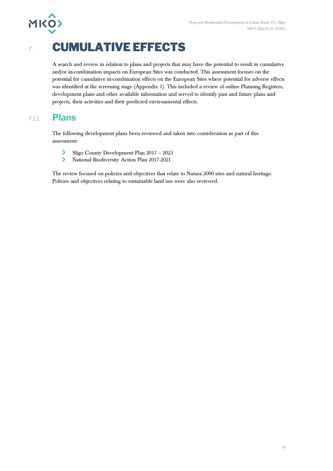

# 7. **CUMULATIVE EFFECTS**

A search and review in relation to plans and projects that may have the potential to result in cumulative and/or in-combination impacts on European Sites was conducted. This assessment focuses on the potential for cumulative in-combination effects on the European Sites where potential for adverse effects was identified at the screening stage (Appendix 1). This included a review of online Planning Registers, development plans and other available information and served to identify past and future plans and projects, their activities and their predicted environmental effects.

### 7.1.1 **Plans**

The following development plans been reviewed and taken into consideration as part of this assessment:

- $\blacktriangleright$ Sligo County Development Plan 2017 – 2023
- $\blacktriangleright$ National Biodiversity Action Plan 2017-2021

The review focused on policies and objectives that relate to Natura 2000 sites and natural heritage. Policies and objectives relating to sustainable land use were also reviewed.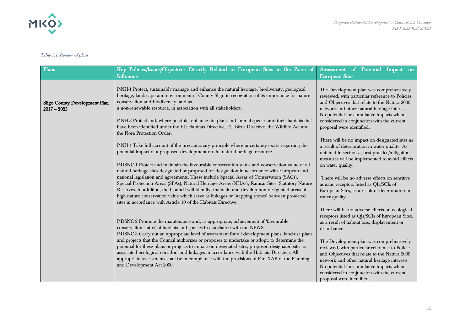

#### Table 7.1: Review of plans

| Plans                                          | Key Policies/Issues/Objectives Directly Related to European Sites in the Zone of<br><b>Influence</b>                                                                                                                                                                                                                                                                                                                                                                                                                                                                                                                                                                                                                                                                                                                                                | Assessment of Potential<br>Impact on<br><b>European Sites</b>                                                                                                                                                                                                                                                                                                                                                                                                                            |
|------------------------------------------------|-----------------------------------------------------------------------------------------------------------------------------------------------------------------------------------------------------------------------------------------------------------------------------------------------------------------------------------------------------------------------------------------------------------------------------------------------------------------------------------------------------------------------------------------------------------------------------------------------------------------------------------------------------------------------------------------------------------------------------------------------------------------------------------------------------------------------------------------------------|------------------------------------------------------------------------------------------------------------------------------------------------------------------------------------------------------------------------------------------------------------------------------------------------------------------------------------------------------------------------------------------------------------------------------------------------------------------------------------------|
| Sligo County Development Plan<br>$2017 - 2023$ | P-NH-1 Protect, sustainably manage and enhance the natural heritage, biodiversity, geological<br>heritage, landscape and environment of County Sligo in recognition of its importance for nature<br>conservation and biodiversity, and as<br>a non-renewable resource, in association with all stakeholders.<br>P-NH-3 Protect and, where possible, enhance the plant and animal species and their habitats that<br>have been identified under the EU Habitats Directive, EU Birds Directive, the Wildlife Act and<br>the Flora Protection Order.                                                                                                                                                                                                                                                                                                   | The Development plan was comprehensively<br>reviewed, with particular reference to Policies<br>and Objectives that relate to the Natura 2000<br>network and other natural heritage interests.<br>No potential for cumulative impacts when<br>considered in conjunction with the current<br>proposal were identified.                                                                                                                                                                     |
|                                                | P-NH-4 Take full account of the precautionary principle where uncertainty exists regarding the<br>potential impact of a proposed development on the natural heritage resource<br>P-DSNC-1 Protect and maintain the favourable conservation status and conservation value of all<br>natural heritage sites designated or proposed for designation in accordance with European and<br>national legislation and agreements. These include Special Areas of Conservation (SACs),<br>Special Protection Areas (SPAs), Natural Heritage Areas (NHAs), Ramsar Sites, Statutory Nature<br>Reserves. In addition, the Council will identify, maintain and develop non designated areas of<br>high nature conservation value which serve as linkages or 'stepping stones' between protected<br>sites in accordance with Article 10 of the Habitats Directive. | There will be no impact on designated sites as<br>a result of deterioration in water quality. As<br>outlined in section 5, best practice/mitigation<br>measures will be implemented to avoid effects<br>on water quality.<br>There will be no adverse effects on sensitive<br>aquatic receptors listed as QIs/SCIs of<br>European Sites, as a result of deterioration in<br>water quality.                                                                                               |
|                                                | P-DSNC-2 Promote the maintenance and, as appropriate, achievement of 'favourable<br>conservation status' of habitats and species in association with the NPWS.<br>P-DSNC-3 Carry out an appropriate level of assessment for all development plans, land-use plans<br>and projects that the Council authorizes or proposes to undertake or adopt, to determine the<br>potential for these plans or projects to impact on designated sites, proposed designated sites or<br>associated ecological corridors and linkages in accordance with the Habitats Directive, All<br>appropriate assessments shall be in compliance with the provisions of Part XAB of the Planning<br>and Development Act 2000.                                                                                                                                                | There will be no adverse effects on ecological<br>receptors listed as QIs/SCIs of European Sites,<br>as a result of habitat loss, displacement or<br>disturbance<br>The Development plan was comprehensively<br>reviewed, with particular reference to Policies<br>and Objectives that relate to the Natura 2000<br>network and other natural heritage interests.<br>No potential for cumulative impacts when<br>considered in conjunction with the current<br>proposal were identified. |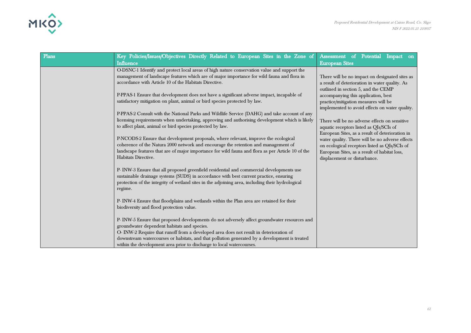

| Plans | Key Policies/Issues/Objectives Directly Related to European Sites in the Zone of<br>Influence                                                                                                                                                                                                                                                                                                                   | Assessment of Potential Impact on<br><b>European Sites</b>                                                                                                                                                                          |
|-------|-----------------------------------------------------------------------------------------------------------------------------------------------------------------------------------------------------------------------------------------------------------------------------------------------------------------------------------------------------------------------------------------------------------------|-------------------------------------------------------------------------------------------------------------------------------------------------------------------------------------------------------------------------------------|
|       | O-DSNC-1 Identify and protect local areas of high nature conservation value and support the<br>management of landscape features which are of major importance for wild fauna and flora in<br>accordance with Article 10 of the Habitats Directive.                                                                                                                                                              | There will be no impact on designated sites as<br>a result of deterioration in water quality. As                                                                                                                                    |
|       | P-PPAS-1 Ensure that development does not have a significant adverse impact, incapable of<br>satisfactory mitigation on plant, animal or bird species protected by law.                                                                                                                                                                                                                                         | outlined in section 5, and the CEMP<br>accompanying this application, best<br>practice/mitigation measures will be<br>implemented to avoid effects on water quality.                                                                |
|       | P-PPAS-2 Consult with the National Parks and Wildlife Service (DAHG) and take account of any<br>licensing requirements when undertaking, approving and authorising development which is likely<br>to affect plant, animal or bird species protected by law.                                                                                                                                                     | There will be no adverse effects on sensitive<br>aquatic receptors listed as QIs/SCIs of                                                                                                                                            |
|       | P-NCODS-2 Ensure that development proposals, where relevant, improve the ecological<br>coherence of the Natura 2000 network and encourage the retention and management of<br>landscape features that are of major importance for wild fauna and flora as per Article 10 of the<br>Habitats Directive.                                                                                                           | European Sites, as a result of deterioration in<br>water quality. There will be no adverse effects<br>on ecological receptors listed as QIs/SCIs of<br>European Sites, as a result of habitat loss,<br>displacement or disturbance. |
|       | P-INW-3 Ensure that all proposed greenfield residential and commercial developments use<br>sustainable drainage systems (SUDS) in accordance with best current practice, ensuring<br>protection of the integrity of wetland sites in the adjoining area, including their hydrological<br>regime.                                                                                                                |                                                                                                                                                                                                                                     |
|       | P- INW-4 Ensure that floodplains and wetlands within the Plan area are retained for their<br>biodiversity and flood protection value.                                                                                                                                                                                                                                                                           |                                                                                                                                                                                                                                     |
|       | P- INW-5 Ensure that proposed developments do not adversely affect groundwater resources and<br>groundwater dependent habitats and species.<br>O- INW-2 Require that runoff from a developed area does not result in deterioration of<br>downstream watercourses or habitats, and that pollution generated by a development is treated<br>within the development area prior to discharge to local watercourses. |                                                                                                                                                                                                                                     |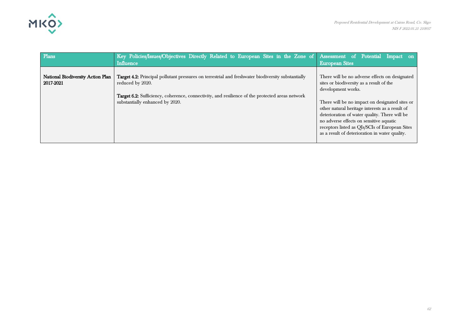

| Plans                                          | Key Policies/Issues/Objectives Directly Related to European Sites in the Zone of Assessment of Potential Impact on<br><b>Influence</b>                                                                                                                              | <b>European Sites</b>                                                                                                                                                                                                                           |
|------------------------------------------------|---------------------------------------------------------------------------------------------------------------------------------------------------------------------------------------------------------------------------------------------------------------------|-------------------------------------------------------------------------------------------------------------------------------------------------------------------------------------------------------------------------------------------------|
| National Biodiversity Action Plan<br>2017-2021 | Target 4.2: Principal pollutant pressures on terrestrial and freshwater biodiversity substantially<br>reduced by 2020.<br><b>Target 6.2:</b> Sufficiency, coherence, connectivity, and resilience of the protected areas network<br>substantially enhanced by 2020. | There will be no adverse effects on designated<br>sites or biodiversity as a result of the<br>development works.<br>There will be no impact on designated sites or                                                                              |
|                                                |                                                                                                                                                                                                                                                                     | other natural heritage interests as a result of<br>deterioration of water quality. There will be<br>no adverse effects on sensitive aquatic<br>receptors listed as QIs/SCIs of European Sites<br>as a result of deterioration in water quality. |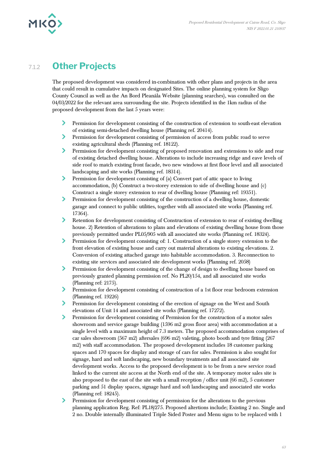

### 7.1.2 **Other Projects**

The proposed development was considered in-combination with other plans and projects in the area that could result in cumulative impacts on designated Sites. The online planning system for Sligo County Council as well as the An Bord Pleanála Website (planning searches), was consulted on the 04/03/2022 for the relevant area surrounding the site. Projects identified in the 1km radius of the proposed development from the last 5 years were:

- Permission for development consisting of the construction of extension to south-east elevation  $\sum$ of existing semi-detached dwelling house (Planning ref. 20414).
- $\sum_{i=1}^{n}$ Permission for development consisting of permission of access from public road to serve existing agricultural sheds (Planning ref. 18122).
- $\blacktriangleright$ Permission for development consisting of proposed renovation and extensions to side and rear of existing detached dwelling house. Alterations to include increasing ridge and eave levels of side roof to match existing front facade, two new windows at first floor level and all associated landscaping and site works (Planning ref. 18314).
- $\sum_{i=1}^{n}$ Permission for development consisting of (a) Convert part of attic space to living accommodation, (b) Construct a two-storey extension to side of dwelling house and (c) Construct a single storey extension to rear of dwelling house (Planning ref: 19351).
- $\sum_{i=1}^{n}$ Permission for development consisting of the construction of a dwelling house, domestic garage and connect to public utilities, together with all associated site works (Planning ref. 17364).
- $\blacktriangleright$ Retention for development consisting of Construction of extension to rear of existing dwelling house. 2) Retention of alterations to plans and elevations of existing dwelling house from those previously permitted under PL05/905 with all associated site works (Planning ref. 18324).
- $\blacktriangleright$ Permission for development consisting of: 1. Construction of a single storey extension to the front elevation of existing house and carry out material alterations to existing elevations. 2. Conversion of existing attached garage into habitable accommodation. 3. Reconnection to existing site services and associated site development works (Planning ref. 2058)
- $\sum$ Permission for development consisting of the change of design to dwelling house based on previously granted planning permission ref. No PL20/154, and all associated site works (Planning ref: 2175).
- $\blacktriangleright$ Permission for development consisting of construction of a 1st floor rear bedroom extension (Planning ref. 19226)
- $\blacktriangleright$ Permission for development consisting of the erection of signage on the West and South elevations of Unit 14 and associated site works (Planning ref. 17272).
- $\sum$ Permission for development consisting of Permission for the construction of a motor sales showroom and service garage building (1596 m2 gross floor area) with accommodation at a single level with a maximum height of 7.3 meters. The proposed accommodation comprises of car sales showroom (567 m2) aftersales (696 m2) valeting, photo booth and tyre fitting (267 m2) with staff accommodation. The proposed development includes 18 customer parking spaces and 170 spaces for display and storage of cars for sales. Permission is also sought for signage, hard and soft landscaping, new boundary treatments and all associated site development works. Access to the proposed development is to be from a new service road linked to the current site access at the North end of the site. A temporary motor sales site is also proposed to the east of the site with a small reception / office unit (66 m2), 5 customer parking and 51 display spaces, signage hard and soft landscaping and associated site works (Planning ref: 18245).
- $\blacktriangleright$ Permission for development consisting of permission for the alterations to the previous planning application Reg. Ref: PL18/275. Proposed altertions include; Existing 2 no. Single and 2 no. Double internally illuminated Triple Sided Poster and Menu signs to be replaced with 1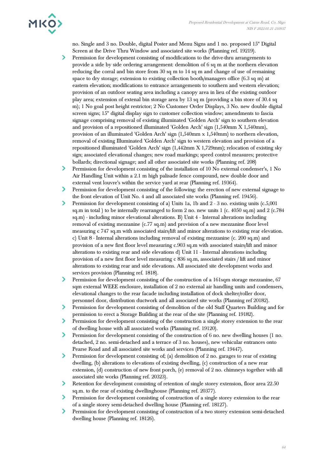

no. Single and 3 no. Double, digital Poster and Menu Signs and 1 no. proposed 15" Digital Screen at the Drive Thru Window and associated site works (Planning ref. 19219).

- Permission for development consisting of modifications to the drive-thru arrangements to ⋗ provide a side by side ordering arrangement: demolition of 6 sq m at the northern elevation reducing the corral and bin store from 30 sq m to 14 sq m and change of use of remaining space to dry storage; extension to existing collection booth/managers office (6.3 sq m) at eastern elevation; modifications to entrance arrangements to southern and western elevation; provision of an outdoor seating area including a canopy area in lieu of the existing outdoor play area; extension of extenal bin storage area by 13 sq m (providing a bin store of 30.4 sq m); 1 No goal post height restrictor; 2 No Customer Order Displays, 3 No. new double digital screen signs; 15" digital display sign to customer collection window; amendments to fascia signage comprising removal of existing illuminated 'Golden Arch' sign to southern elevation and provision of a repositioned illuminated 'Golden Arch' sign (1,540mm X 1,540mm), provision of an illuminated 'Golden Arch' sign (1,540mm x 1,540mm) to northern elevation, removal of existing Illuminated 'Golden Arch' sign to western elevation and provision of a repositioned illuminated 'Golden Arch' sign (1,442mm X 1,729mm); relocation of existing sky sign; associated elevational changes; new road markings; speed control measures; protective bollards; directional signage; and all other associated site works (Planning ref. 208)
- $\blacktriangleright$ Permission for development consisting of the installation of 10 No external condenser's, 1 No Air Handling Unit within a 2.1 m high palisade fence compound, new double door and external vent louvre's within the service yard at rear (Planning ref. 19364).
- У. Permission for development consisting of the following: the erection of new external signage to the front elevation of Unit No. 4 and all associated site works (Planning ref. 19456).
- ≻ Permission for development consisting of a) Units 1a, 1b and 2 - 3 no. existing units (c.5,001 sq.m in total ) to be internally rearranged to form 2 no. new units 1 (c. 4050 sq.m) and 2 (c.784 sq.m) - including minor elevational alterations. B) Unit 4 - Internal alterations including removal of existing mezzanine (c.77 sq.m) and provision of a new mezzanine floor level measuring c 747 sq.m with associated stairs/lift and minor alterations to existing rear elevation. c) Unit 8 - Internal alterations including removal of existing mezzanine (c. 200 sq.m) and provision of a new first floor level measuring c.903 sq.m with associated stairs/lift and minor alterations to existing rear and side elevations d) Unit 11 - Internal alterations including provision of a new first floor level measuring c 836 sq.m, associated stairs / lift and minor alterations to existing rear and side elevations. All associated site development works and services provision (Planning ref. 1818).
- ≻ Permission for development consisting of the construction of a 161sqm storage mezzanine, 67 sqm external WEEE enclosure, installation of 2 no external air handling units and condensers, elevational changes to the rear facade including installation of dock shelter/roller door, personnel door, distribution ductwork and all associated site works (Planning ref 20182).
- ≻ Permission for development consisting of demolition of the old Staff Quarters Building and for permission to erect a Storage Building at the rear of the site (Planning ref. 19182).
- $\blacktriangleright$ Permission for development consisting of the construction a single storey extension to the rear of dwelling house with all associated works (Planning ref. 19120).
- $\blacktriangleright$ Permission for development consisting of the construction of 6 no. new dwelling houses (1 no. detached, 2 no. semi-detached and a terrace of 3 no. houses), new vehicular entrances onto Pearse Road and all associated site works and services (Planning ref. 19447).
- $\blacktriangleright$ Permission for development consisting of; (a) demolition of 2 no. garages to rear of existing dwelling, (b) alterations to elevations of existing dwelling, (c) construction of a new rear extension, (d) construction of new front porch, (e) removal of 2 no. chimneys together with all associated site works (Planning ref. 20323).
- $\blacktriangleright$ Retention for development consisting of retention of single storey extension, floor area 22.50 sq.m. to the rear of existing dwellinghouse (Planning ref. 20377).
- Permission for development consisting of construction of a single storey extension to the rear of a single storey semi-detached dwelling house (Planning ref. 18127).
- Permission for development consisting of construction of a two storey extension semi-detached dwelling house (Planning ref. 18126).